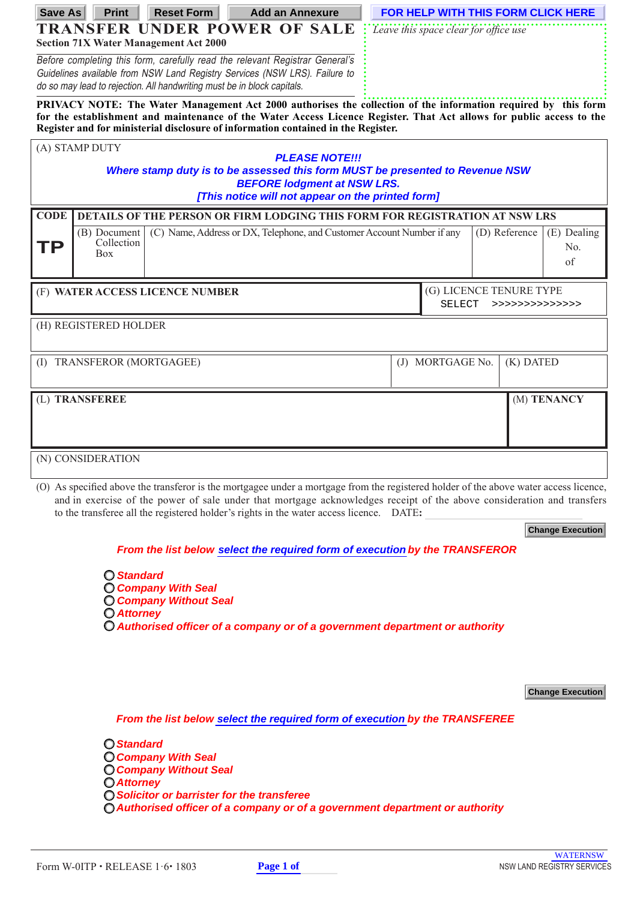| Save As                                                                                                                                                                                                                                | <b>Print</b>               | <b>Reset Form</b>                                                            |  | <b>Add an Annexure</b> |                                                              | FOR HELP WITH THIS FORM CLICK HERE |               |             |  |
|----------------------------------------------------------------------------------------------------------------------------------------------------------------------------------------------------------------------------------------|----------------------------|------------------------------------------------------------------------------|--|------------------------|--------------------------------------------------------------|------------------------------------|---------------|-------------|--|
| <b>TRANSFER UNDER POWER OF SALE</b>                                                                                                                                                                                                    |                            |                                                                              |  |                        | Leave this space clear for office use                        |                                    |               |             |  |
|                                                                                                                                                                                                                                        |                            | <b>Section 71X Water Management Act 2000</b>                                 |  |                        |                                                              |                                    |               |             |  |
|                                                                                                                                                                                                                                        |                            | Before completing this form, carefully read the relevant Registrar General's |  |                        |                                                              |                                    |               |             |  |
| Guidelines available from NSW Land Registry Services (NSW LRS). Failure to<br>do so may lead to rejection. All handwriting must be in block capitals.                                                                                  |                            |                                                                              |  |                        |                                                              |                                    |               |             |  |
|                                                                                                                                                                                                                                        |                            |                                                                              |  |                        |                                                              |                                    |               |             |  |
| PRIVACY NOTE: The Water Management Act 2000 authorises the collection of the information required by this form<br>for the establishment and maintenance of the Water Access Licence Register. That Act allows for public access to the |                            |                                                                              |  |                        |                                                              |                                    |               |             |  |
| Register and for ministerial disclosure of information contained in the Register.                                                                                                                                                      |                            |                                                                              |  |                        |                                                              |                                    |               |             |  |
| (A) STAMP DUTY                                                                                                                                                                                                                         |                            |                                                                              |  |                        |                                                              |                                    |               |             |  |
|                                                                                                                                                                                                                                        |                            |                                                                              |  | <b>PLEASE NOTE!!!</b>  |                                                              |                                    |               |             |  |
| Where stamp duty is to be assessed this form MUST be presented to Revenue NSW<br><b>BEFORE lodgment at NSW LRS.</b>                                                                                                                    |                            |                                                                              |  |                        |                                                              |                                    |               |             |  |
| [This notice will not appear on the printed form]                                                                                                                                                                                      |                            |                                                                              |  |                        |                                                              |                                    |               |             |  |
| <b>CODE</b>                                                                                                                                                                                                                            |                            | DETAILS OF THE PERSON OR FIRM LODGING THIS FORM FOR REGISTRATION AT NSW LRS  |  |                        |                                                              |                                    |               |             |  |
|                                                                                                                                                                                                                                        | (B) Document               | (C) Name, Address or DX, Telephone, and Customer Account Number if any       |  |                        |                                                              |                                    | (D) Reference | (E) Dealing |  |
| TP                                                                                                                                                                                                                                     | Collection<br><b>Box</b>   |                                                                              |  |                        |                                                              |                                    |               | No.         |  |
|                                                                                                                                                                                                                                        |                            |                                                                              |  |                        |                                                              |                                    |               | of          |  |
|                                                                                                                                                                                                                                        |                            |                                                                              |  |                        |                                                              |                                    |               |             |  |
| (F) WATER ACCESS LICENCE NUMBER                                                                                                                                                                                                        |                            |                                                                              |  |                        | (G) LICENCE TENURE TYPE<br><b>SELECT</b><br>>>>>>>>>>>>>>>>> |                                    |               |             |  |
|                                                                                                                                                                                                                                        |                            |                                                                              |  |                        |                                                              |                                    |               |             |  |
|                                                                                                                                                                                                                                        | (H) REGISTERED HOLDER      |                                                                              |  |                        |                                                              |                                    |               |             |  |
|                                                                                                                                                                                                                                        |                            |                                                                              |  |                        |                                                              |                                    |               |             |  |
|                                                                                                                                                                                                                                        | (I) TRANSFEROR (MORTGAGEE) |                                                                              |  |                        |                                                              | (J) MORTGAGE No.                   | $(K)$ DATED   |             |  |
|                                                                                                                                                                                                                                        |                            |                                                                              |  |                        |                                                              |                                    |               |             |  |
|                                                                                                                                                                                                                                        | (L) TRANSFEREE             |                                                                              |  |                        |                                                              |                                    |               | (M) TENANCY |  |
|                                                                                                                                                                                                                                        |                            |                                                                              |  |                        |                                                              |                                    |               |             |  |
|                                                                                                                                                                                                                                        |                            |                                                                              |  |                        |                                                              |                                    |               |             |  |
|                                                                                                                                                                                                                                        |                            |                                                                              |  |                        |                                                              |                                    |               |             |  |
| (N) CONSIDERATION                                                                                                                                                                                                                      |                            |                                                                              |  |                        |                                                              |                                    |               |             |  |
|                                                                                                                                                                                                                                        |                            |                                                                              |  |                        |                                                              |                                    |               |             |  |

(O) As specified above the transferor is the mortgagee under a mortgage from the registered holder of the above water access licence, and in exercise of the power of sale under that mortgage acknowledges receipt of the above consideration and transfers to the transferee all the registered holder's rights in the water access licence. DATE**:**

**Change Execution**

## **From the list below select the required form of execution by the TRANSFEROR**

**Standard Company With Seal Company Without Seal Attorney C** Authorised officer of a company or of a government department or authority

**Change Execution**

**From the list below select the required form of execution by the TRANSFEREE** 

**Standard Company With Seal Company Without Seal Attorney Solicitor or barrister for the transferee C** Authorised officer of a company or of a government department or authority